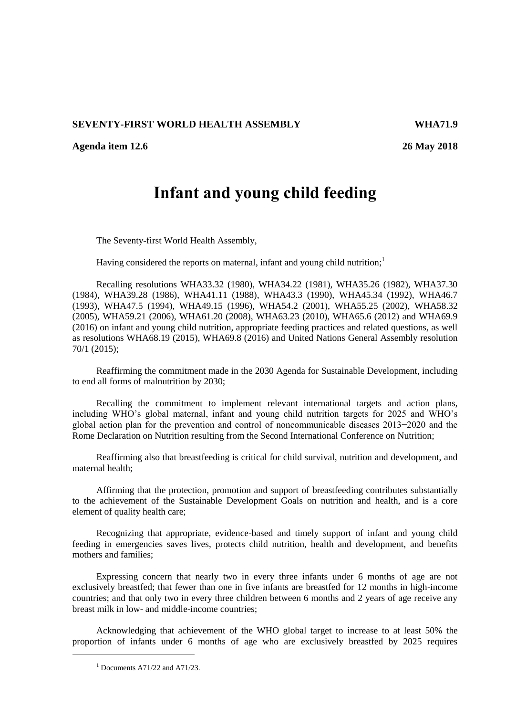## **SEVENTY-FIRST WORLD HEALTH ASSEMBLY WHA71.9**

**Agenda item 12.6 26 May 2018**

## **Infant and young child feeding**

The Seventy-first World Health Assembly,

Having considered the reports on maternal, infant and young child nutrition;<sup>1</sup>

Recalling resolutions WHA33.32 (1980), WHA34.22 (1981), WHA35.26 (1982), WHA37.30 (1984), WHA39.28 (1986), WHA41.11 (1988), WHA43.3 (1990), WHA45.34 (1992), WHA46.7 (1993), WHA47.5 (1994), WHA49.15 (1996), WHA54.2 (2001), WHA55.25 (2002), WHA58.32 (2005), WHA59.21 (2006), WHA61.20 (2008), WHA63.23 (2010), WHA65.6 (2012) and WHA69.9 (2016) on infant and young child nutrition, appropriate feeding practices and related questions, as well as resolutions WHA68.19 (2015), WHA69.8 (2016) and United Nations General Assembly resolution 70/1 (2015);

Reaffirming the commitment made in the 2030 Agenda for Sustainable Development, including to end all forms of malnutrition by 2030;

Recalling the commitment to implement relevant international targets and action plans, including WHO's global maternal, infant and young child nutrition targets for 2025 and WHO's global action plan for the prevention and control of noncommunicable diseases 2013−2020 and the Rome Declaration on Nutrition resulting from the Second International Conference on Nutrition;

Reaffirming also that breastfeeding is critical for child survival, nutrition and development, and maternal health;

Affirming that the protection, promotion and support of breastfeeding contributes substantially to the achievement of the Sustainable Development Goals on nutrition and health, and is a core element of quality health care;

Recognizing that appropriate, evidence-based and timely support of infant and young child feeding in emergencies saves lives, protects child nutrition, health and development, and benefits mothers and families;

Expressing concern that nearly two in every three infants under 6 months of age are not exclusively breastfed; that fewer than one in five infants are breastfed for 12 months in high-income countries; and that only two in every three children between 6 months and 2 years of age receive any breast milk in low- and middle-income countries;

Acknowledging that achievement of the WHO global target to increase to at least 50% the proportion of infants under 6 months of age who are exclusively breastfed by 2025 requires

-

 $<sup>1</sup>$  Documents A71/22 and A71/23.</sup>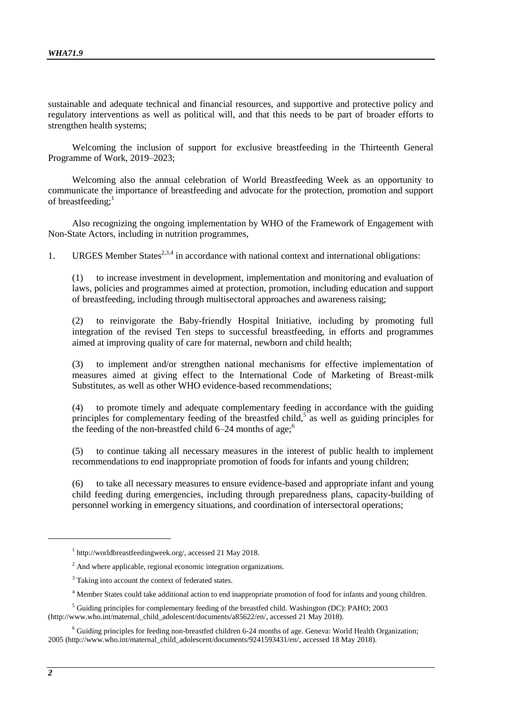sustainable and adequate technical and financial resources, and supportive and protective policy and regulatory interventions as well as political will, and that this needs to be part of broader efforts to strengthen health systems;

Welcoming the inclusion of support for exclusive breastfeeding in the Thirteenth General Programme of Work, 2019–2023;

Welcoming also the annual celebration of World Breastfeeding Week as an opportunity to communicate the importance of breastfeeding and advocate for the protection, promotion and support of breastfeeding:<sup>1</sup>

Also recognizing the ongoing implementation by WHO of the Framework of Engagement with Non-State Actors, including in nutrition programmes,

1. URGES Member States<sup>2,3,4</sup> in accordance with national context and international obligations:

(1) to increase investment in development, implementation and monitoring and evaluation of laws, policies and programmes aimed at protection, promotion, including education and support of breastfeeding, including through multisectoral approaches and awareness raising;

(2) to reinvigorate the Baby-friendly Hospital Initiative, including by promoting full integration of the revised Ten steps to successful breastfeeding, in efforts and programmes aimed at improving quality of care for maternal, newborn and child health;

(3) to implement and/or strengthen national mechanisms for effective implementation of measures aimed at giving effect to the International Code of Marketing of Breast-milk Substitutes, as well as other WHO evidence-based recommendations;

(4) to promote timely and adequate complementary feeding in accordance with the guiding principles for complementary feeding of the breastfed child,<sup>5</sup> as well as guiding principles for the feeding of the non-breastfed child  $6-24$  months of age;<sup>6</sup>

(5) to continue taking all necessary measures in the interest of public health to implement recommendations to end inappropriate promotion of foods for infants and young children;

(6) to take all necessary measures to ensure evidence-based and appropriate infant and young child feeding during emergencies, including through preparedness plans, capacity-building of personnel working in emergency situations, and coordination of intersectoral operations;

-

<sup>1</sup> [http://worldbreastfeedingweek.org/,](http://worldbreastfeedingweek.org/) accessed 21 May 2018.

 $2<sup>2</sup>$  And where applicable, regional economic integration organizations.

 $3$  Taking into account the context of federated states.

<sup>4</sup> Member States could take additional action to end inappropriate promotion of food for infants and young children.

<sup>5</sup> Guiding principles for complementary feeding of the breastfed child. Washington (DC): PAHO; 2003 [\(http://www.who.int/maternal\\_child\\_adolescent/documents/a85622/en/,](http://www.who.int/maternal_child_adolescent/documents/a85622/en/) accessed 21 May 2018).

 $6$  Guiding principles for feeding non-breastfed children 6-24 months of age. Geneva: World Health Organization; 2005 [\(http://www.who.int/maternal\\_child\\_adolescent/documents/9241593431/en/,](http://www.who.int/maternal_child_adolescent/documents/9241593431/en/) accessed 18 May 2018).